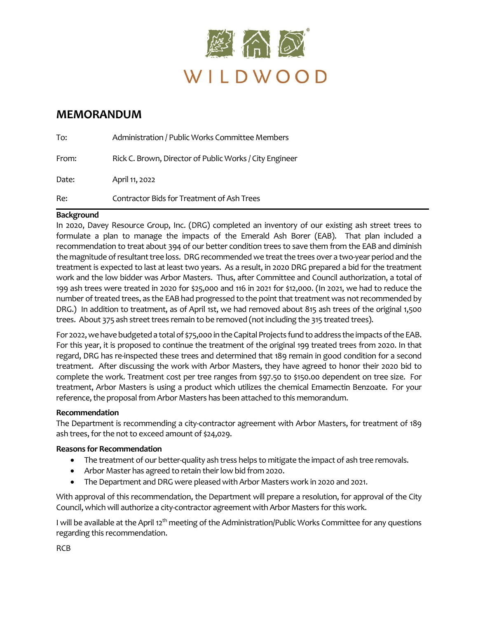

### **MEMORANDUM**

| To:   | Administration / Public Works Committee Members         |
|-------|---------------------------------------------------------|
| From: | Rick C. Brown, Director of Public Works / City Engineer |
| Date: | April 11, 2022                                          |
| Re:   | Contractor Bids for Treatment of Ash Trees              |

#### **Background**

In 2020, Davey Resource Group, Inc. (DRG) completed an inventory of our existing ash street trees to formulate a plan to manage the impacts of the Emerald Ash Borer (EAB). That plan included a recommendation to treat about 394 of our better condition trees to save them from the EAB and diminish the magnitude of resultant tree loss. DRG recommended we treat the trees over a two-year period and the treatment is expected to last at least two years. As a result, in 2020 DRG prepared a bid for the treatment work and the low bidder was Arbor Masters. Thus, after Committee and Council authorization, a total of 199 ash trees were treated in 2020 for \$25,000 and 116 in 2021 for \$12,000. (In 2021, we had to reduce the number of treated trees, as the EAB had progressed to the point that treatment was not recommended by DRG.) In addition to treatment, as of April 1st, we had removed about 815 ash trees of the original 1,500 trees. About 375 ash street trees remain to be removed (not including the 315 treated trees).

For 2022, we have budgeted a total of \$75,000 in the Capital Projects fund to address the impacts of the EAB. For this year, it is proposed to continue the treatment of the original 199 treated trees from 2020. In that regard, DRG has re-inspected these trees and determined that 189 remain in good condition for a second treatment. After discussing the work with Arbor Masters, they have agreed to honor their 2020 bid to complete the work. Treatment cost per tree ranges from \$97.50 to \$150.00 dependent on tree size. For treatment, Arbor Masters is using a product which utilizes the chemical Emamectin Benzoate. For your reference, the proposal from Arbor Masters has been attached to this memorandum.

#### **Recommendation**

The Department is recommending a city-contractor agreement with Arbor Masters, for treatment of 189 ash trees, for the not to exceed amount of \$24,029.

#### **Reasons for Recommendation**

- The treatment of our better-quality ash tress helps to mitigate the impact of ash tree removals.
- Arbor Master has agreed to retain their low bid from 2020.
- The Department and DRG were pleased with Arbor Masters work in 2020 and 2021.

With approval of this recommendation, the Department will prepare a resolution, for approval of the City Council, which will authorize a city-contractor agreement with Arbor Masters for this work.

I will be available at the April 12<sup>th</sup> meeting of the Administration/Public Works Committee for any questions regarding this recommendation.

RCB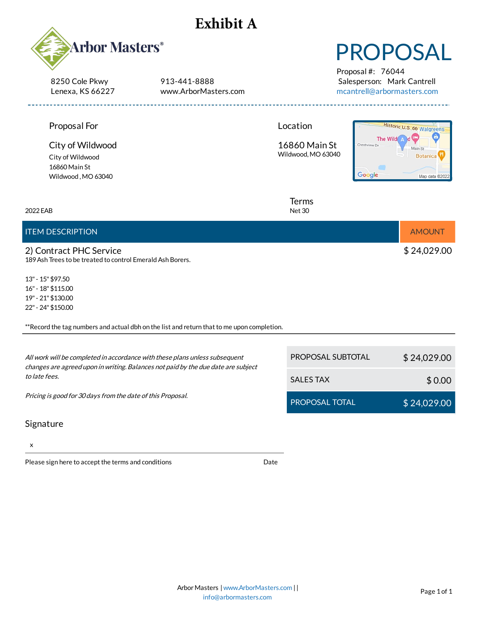## **Exhibit A**



8250 Cole Pkwy Lenexa, KS 66227 913-441-8888 www.ArborMasters.com

# PROPOSAL

Proposal #: 76044 Salesperson: Mark Cantrell [mcantrell@arbormasters.com](mailto:mcantrell@arbormasters.com)

| Proposal For<br>City of Wildwood<br>City of Wildwood<br>16860 Main St<br>Wildwood, MO 63040                                                                      | Location<br>16860 Main St<br>Crestview Dr<br>Wildwood, MO 63040<br>Google | Historic U.S. 66 Walgreens<br>The Wild<br>Main St<br><b>Botanica</b><br>Map data @2022 |
|------------------------------------------------------------------------------------------------------------------------------------------------------------------|---------------------------------------------------------------------------|----------------------------------------------------------------------------------------|
| 2022 EAB                                                                                                                                                         | Terms<br><b>Net 30</b>                                                    |                                                                                        |
| <b>ITEM DESCRIPTION</b>                                                                                                                                          |                                                                           | <b>AMOUNT</b>                                                                          |
| 2) Contract PHC Service<br>189 Ash Trees to be treated to control Emerald Ash Borers.                                                                            |                                                                           | \$24,029.00                                                                            |
| 13" - 15" \$97.50<br>16" - 18" \$115.00<br>19" - 21" \$130.00<br>22" - 24" \$150.00                                                                              |                                                                           |                                                                                        |
| **Record the tag numbers and actual dbh on the list and return that to me upon completion.                                                                       |                                                                           |                                                                                        |
| All work will be completed in accordance with these plans unless subsequent<br>changes are agreed upon in writing. Balances not paid by the due date are subject | PROPOSAL SUBTOTAL                                                         | \$24,029.00                                                                            |
| to late fees.                                                                                                                                                    | <b>SALES TAX</b>                                                          | \$0.00                                                                                 |
| Pricing is good for 30 days from the date of this Proposal.                                                                                                      | PROPOSAL TOTAL                                                            | \$24,029.00                                                                            |

#### Signature

x

Please sign here to accept the terms and conditions

Date